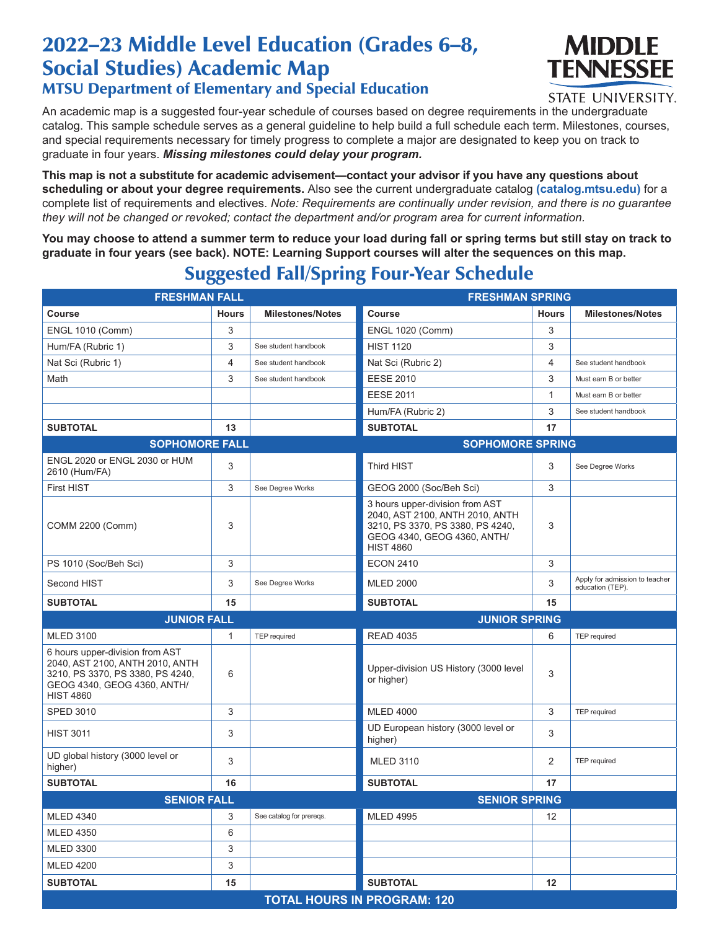## 2022–23 Middle Level Education (Grades 6–8, Social Studies) Academic Map MTSU Department of Elementary and Special Education



STATE UNIVERSITY.

An academic map is a suggested four-year schedule of courses based on degree requirements in the undergraduate catalog. This sample schedule serves as a general guideline to help build a full schedule each term. Milestones, courses, and special requirements necessary for timely progress to complete a major are designated to keep you on track to graduate in four years. *Missing milestones could delay your program.*

**This map is not a substitute for academic advisement—contact your advisor if you have any questions about scheduling or about your degree requirements.** Also see the current undergraduate catalog **(catalog.mtsu.edu)** for a complete list of requirements and electives. *Note: Requirements are continually under revision, and there is no guarantee they will not be changed or revoked; contact the department and/or program area for current information.*

**You may choose to attend a summer term to reduce your load during fall or spring terms but still stay on track to graduate in four years (see back). NOTE: Learning Support courses will alter the sequences on this map.**

## **FRESHMAN FALL FRESHMAN SPRING** Course **Hours Milestones/Notes Course Course Hours** Hours Milestones/Notes ENGL 1010 (Comm) 3 ENGL 1020 (Comm) 3 Hum/FA (Rubric 1) 3 See student handbook HIST 1120 3 3 Nat Sci (Rubric 1) **A** See student handbook Nat Sci (Rubric 2) 4 See student handbook Math 3 See student handbook EESE 2010 3 Must earn B or better EESE 2011 2011 2012 1 Must earn B or better Hum/FA (Rubric 2) 3 See student handbook **SUBTOTAL 13 SUBTOTAL 17 SOPHOMORE FALL SOPHOMORE SPRING** ENGL 2020 or ENGL 2030 or HUM 2610 (Hum/FA) 3 See Degree Works (See Degree Works (See Degree Works (See Degree Works (See Degree Works (See Degree Works (See Degree Works (See Degree Works (See Degree Works (See Degree Works (See Degree Works (See Degr First HIST **3** See Degree Works GEOG 2000 (Soc/Beh Sci) 3 COMM 2200 (Comm) 3 3 hours upper-division from AST 2040, AST 2100, ANTH 2010, ANTH 3210, PS 3370, PS 3380, PS 4240, GEOG 4340, GEOG 4360, ANTH/ HIST 4860 3 PS 1010 (Soc/Beh Sci) 3 ECON 2410 3 Second HIST **Second HIST** See Degree Works MLED 2000 3 Apply for admission to teacher education (TEP). **SUBTOTAL 15 SUBTOTAL 15 JUNIOR FALL JUNIOR SPRING** MLED 3100 **1 TEP required READ 4035** READ 4035 6 TEP required 6 hours upper-division from AST 2040, AST 2100, ANTH 2010, ANTH 3210, PS 3370, PS 3380, PS 4240, GEOG 4340, GEOG 4360, ANTH/ HIST 4860 <sup>6</sup> Upper-division US History (3000 level or higher) <sup>3</sup> SPED 3010 3 MLED 4000 3 TEP required HIST 3011 3 UD European history (3000 level or higher) <sup>3</sup> UD global history (3000 level or higher) 3 3 MLED 3110 2 TEP required **SUBTOTAL 16 SUBTOTAL 17 SENIOR FALL SENIOR SPRING** MLED 4340 3 See catalog for prereqs. MLED 4995 12 MLED 4350 6 MLED 3300 3 MLED 4200 3

**SUBTOTAL 15 SUBTOTAL 12**

**TOTAL HOURS IN PROGRAM: 120**

## Suggested Fall/Spring Four-Year Schedule